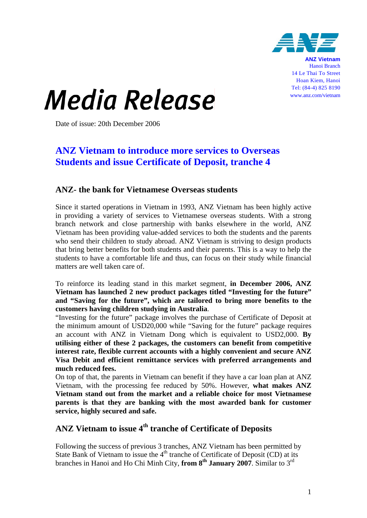

**ANZ Vietnam** Hanoi Branch 14 Le Thai To Street Hoan Kiem, Hanoi Tel: (84-4) 825 8190 www.anz.com/vietnam

## *Media Release*

Date of issue: 20th December 2006

## **ANZ Vietnam to introduce more services to Overseas Students and issue Certificate of Deposit, tranche 4**

## **ANZ- the bank for Vietnamese Overseas students**

Since it started operations in Vietnam in 1993, ANZ Vietnam has been highly active in providing a variety of services to Vietnamese overseas students. With a strong branch network and close partnership with banks elsewhere in the world, ANZ Vietnam has been providing value-added services to both the students and the parents who send their children to study abroad. ANZ Vietnam is striving to design products that bring better benefits for both students and their parents. This is a way to help the students to have a comfortable life and thus, can focus on their study while financial matters are well taken care of.

To reinforce its leading stand in this market segment, **in December 2006, ANZ Vietnam has launched 2 new product packages titled "Investing for the future" and "Saving for the future", which are tailored to bring more benefits to the customers having children studying in Australia**.

"Investing for the future" package involves the purchase of Certificate of Deposit at the minimum amount of USD20,000 while "Saving for the future" package requires an account with ANZ in Vietnam Dong which is equivalent to USD2,000. **By utilising either of these 2 packages, the customers can benefit from competitive interest rate, flexible current accounts with a highly convenient and secure ANZ Visa Debit and efficient remittance services with preferred arrangements and much reduced fees.** 

On top of that, the parents in Vietnam can benefit if they have a car loan plan at ANZ Vietnam, with the processing fee reduced by 50%. However, **what makes ANZ Vietnam stand out from the market and a reliable choice for most Vietnamese parents is that they are banking with the most awarded bank for customer service, highly secured and safe.** 

## **ANZ Vietnam to issue 4th tranche of Certificate of Deposits**

Following the success of previous 3 tranches, ANZ Vietnam has been permitted by State Bank of Vietnam to issue the  $4<sup>th</sup>$  tranche of Certificate of Deposit (CD) at its branches in Hanoi and Ho Chi Minh City, **from 8<sup>th</sup> January 2007**. Similar to  $3^{rd}$